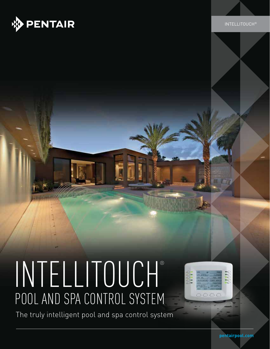

# INTELLITOUCH® POOL AND SPA CONTROL SYSTEM

The truly intelligent pool and spa control system



**pentairpool.com**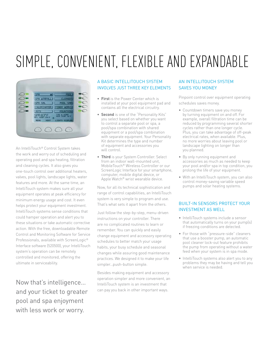## SIMPLE, CONVENIENT, FLEXIBLE AND EXPANDABLE



An IntelliTouch® Control System takes the work and worry out of scheduling and operating pool and spa heating, filtration and cleaning cycles. It also gives you one-touch control over additional heaters, valves, pool lights, landscape lights, water features and more. At the same time, an IntelliTouch system makes sure all your equipment operates at peak efficiency for minimum energy usage and cost. It even helps protect your equipment investment. IntelliTouch systems sense conditions that could hamper operation and alert you to these situations or take automatic corrective action. With the free, downloadable Remote Control and Monitoring Software for Service Professionals, available with ScreenLogic® Interface software (520500), your IntelliTouch system's operation can be remotely controlled and monitored, offering the ultimate in serviceability.

Now that's intelligence… and your ticket to greater pool and spa enjoyment with less work or worry.

#### A BASIC INTELLITOUCH SYSTEM INVOLVES JUST THREE KEY ELEMENTS

- **• First** is the Power Center which is installed at your pool equipment pad and contains all the electrical circuitry.
- **• Second** is one of the "Personality Kits" you select based on whether you want to control a separate pool or spa, a pool/spa combination with shared equipment or a pool/spa combination with separate equipment. Your Personality Kit determines the type and number of equipment and accessories you will control.
- **• Third** is your System Controller. Select from an indoor wall-mounted unit, MobileTouch® Wireless Controller or our ScreenLogic Interface for your smartphone, computer, mobile digital device, or Apple Watch® wrist wearable device.

Now, for all its technical sophistication and range of control capabilities, an IntelliTouch system is very simple to program and use. That's what sets it apart from the others.

Just follow the step-by-step, menu-driven instructions on your controller. There are no complicated routines to learn or remember. You can quickly and easily change equipment and accessory operating schedules to better match your usage habits, your busy schedule and seasonal changes while assuring good maintenance practices. We designed it to make your life simpler…push-button simple.

Besides making equipment and accessory operation simpler and more convenient, an IntelliTouch system is an investment that can pay you back in other important ways.

#### AN INTELLITOUCH SYSTEM SAVES YOU MONEY

Pinpoint control over equipment operating schedules saves money.

- Countdown timers save you money by turning equipment on and off. For example, overall filtration time can be reduced by programming several shorter cycles rather than one longer cycle. Plus, you can take advantage of off-peak electrical rates, when available. Plus, no more worries about leaving pool or landscape lighting on longer than you planned.
- By only running equipment and accessories as much as needed to keep your pool and/or spa in top condition, you prolong the life of your equipment.
- With an IntelliTouch system, you can also control money-saving variable speed pumps and solar heating systems.

#### BUILT-IN SENSORS PROTECT YOUR INVESTMENT AS WELL

- IntelliTouch systems include a sensor that automatically turns on your pump(s) if freezing conditions are detected.
- For those with "pressure-side" cleaners that use a booster pump, an automatic pool cleaner lock-out feature prohibits the pump from operating without a water feed when your system is in spa mode.
- IntelliTouch systems also alert you to any problems they may be having and tell you when service is needed.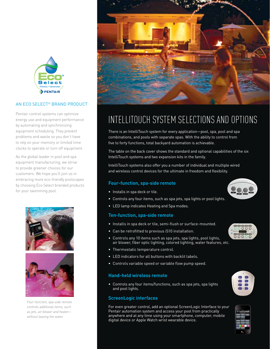

#### AN ECO SELECT® BRAND PRODUCT

Pentair control systems can optimize energy use and equipment performance by automating and synchronizing equipment scheduling. They prevent problems and waste so you don't have to rely on your memory or limited time clocks to operate or turn off equipment.

As the global leader in pool and spa equipment manufacturing, we strive to provide greener choices for our customers. We hope you'll join us in embracing more eco-friendly poolscapes by choosing Eco Select branded products for your swimming pool.





*Four-function, spa-side remote controls additional items, such as jets, air blower and heater without leaving the water.*



### INTELLITOUCH SYSTEM SELECTIONS AND OPTIONS

There is an IntelliTouch system for every application—pool, spa, pool and spa combinations, and pools with separate spas. With the ability to control from five to forty functions, total backyard automation is achievable.

The table on the back cover shows the standard and optional capabilities of the six IntelliTouch systems and two expansion kits in the family.

IntelliTouch systems also offer you a number of individual and multiple wired and wireless control devices for the ultimate in freedom and flexibility.

#### **Four-function, spa-side remote**

- Installs in spa deck or tile.
- Controls any four items, such as spa jets, spa lights or pool lights.
- LED lamp indicates Heating and Spa modes.

#### **Ten-function, spa-side remote**

- Installs in spa deck or tile, semi-flush or surface-mounted.
- Can be retrofitted to previous iS10 installation.
- Controls any 10 items such as spa jets, spa lights, pool lights, air blower, fiber optic lighting, colored lighting, water features, etc.
- Thermostatic temperature control.
- LED indicators for all buttons with backlit labels.
- Controls variable speed or variable flow pump speed.

#### **Hand-held wireless remote**

• Controls any four items/functions, such as spa jets, spa lights and pool lights.

#### **ScreenLogic interfaces**

For even greater control, add an optional ScreenLogic Interface to your Pentair automation system and access your pool from practically anywhere and at any time using your smartphone, computer, mobile digital device or Apple Watch wrist wearable device.